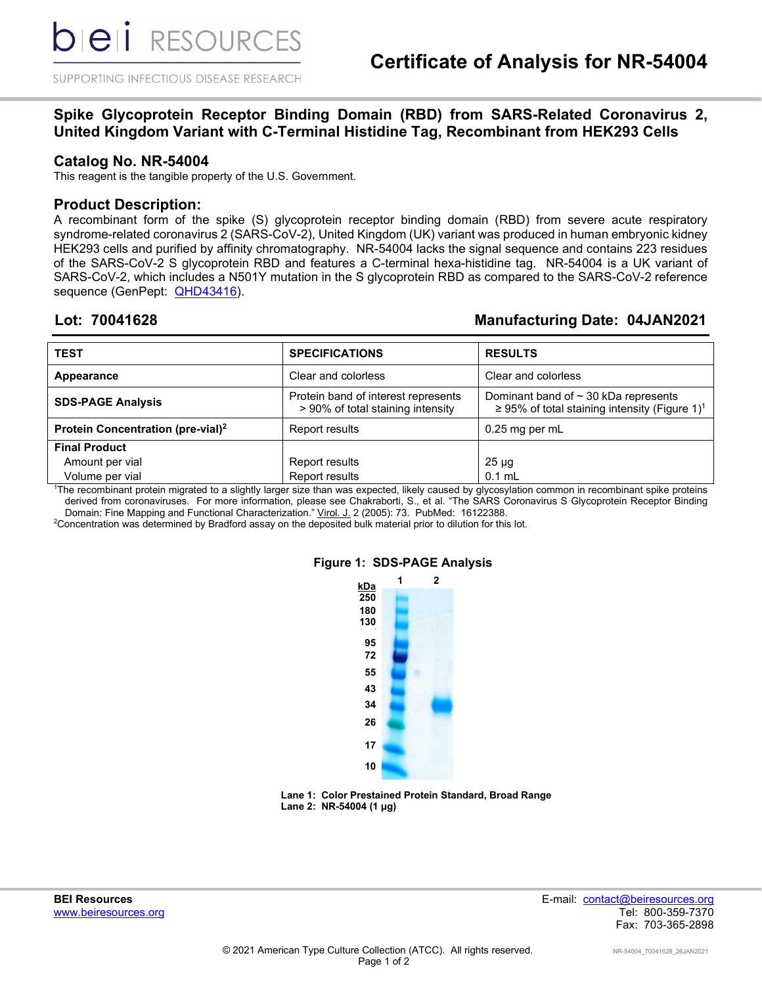SUPPORTING INFECTIOUS DISEASE RESEARCH

# **Spike Glycoprotein Receptor Binding Domain (RBD) from SARS-Related Coronavirus 2, United Kingdom Variant with C-Terminal Histidine Tag, Recombinant from HEK293 Cells**

#### **Catalog No. NR-54004**

This reagent is the tangible property of the U.S. Government.

#### **Product Description:**

A recombinant form of the spike (S) glycoprotein receptor binding domain (RBD) from severe acute respiratory syndrome-related coronavirus 2 (SARS-CoV-2), United Kingdom (UK) variant was produced in human embryonic kidney HEK293 cells and purified by affinity chromatography. NR-54004 lacks the signal sequence and contains 223 residues of the SARS-CoV-2 S glycoprotein RBD and features a C-terminal hexa-histidine tag. NR-54004 is a UK variant of SARS-CoV-2, which includes a N501Y mutation in the S glycoprotein RBD as compared to the SARS-CoV-2 reference sequence (GenPept: **QHD43416**).

# **Lot: 70041628 Manufacturing Date: 04JAN2021**

| <b>TEST</b>                                   | <b>SPECIFICATIONS</b>                                                    | <b>RESULTS</b>                                                                                         |
|-----------------------------------------------|--------------------------------------------------------------------------|--------------------------------------------------------------------------------------------------------|
| Appearance                                    | Clear and colorless                                                      | Clear and colorless                                                                                    |
| <b>SDS-PAGE Analysis</b>                      | Protein band of interest represents<br>> 90% of total staining intensity | Dominant band of $\sim$ 30 kDa represents<br>≥ 95% of total staining intensity (Figure 1) <sup>1</sup> |
| Protein Concentration (pre-vial) <sup>2</sup> | Report results                                                           | $0.25$ mg per mL                                                                                       |
| <b>Final Product</b>                          |                                                                          |                                                                                                        |
| Amount per vial                               | Report results                                                           | $25 \mu g$                                                                                             |
| Volume per vial                               | Report results                                                           | $0.1$ mL                                                                                               |

1 The recombinant protein migrated to a slightly larger size than was expected, likely caused by glycosylation common in recombinant spike proteins derived from coronaviruses. For more information, please see Chakraborti, S., et al. "The SARS Coronavirus S Glycoprotein Receptor Binding Domain: Fine Mapping and Functional Characterization." Virol. J. 2 (2005): 73. PubMed: 16122388.

2 Concentration was determined by Bradford assay on the deposited bulk material prior to dilution for this lot.



### **Figure 1: SDS-PAGE Analysis**

**Lane 1: Color Prestained Protein Standard, Broad Range Lane 2: NR-54004 (1 µg)**